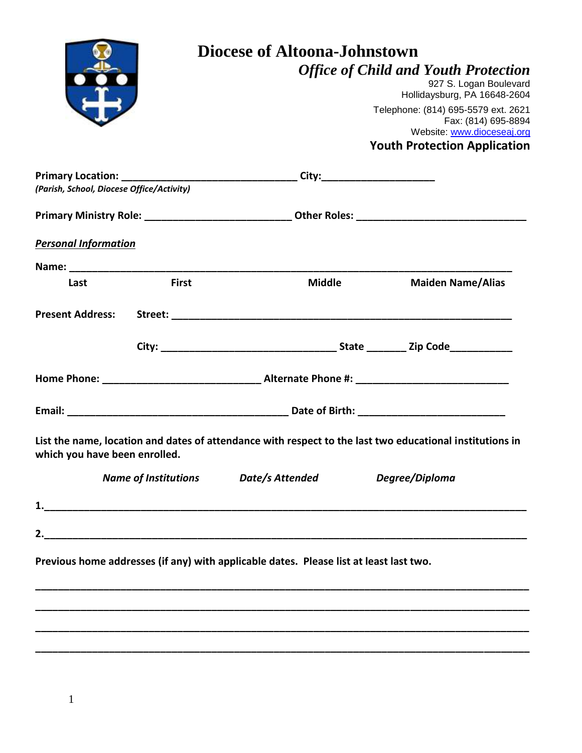|                                           | Diocese of Altoona-Johnstown<br><b>Office of Child and Youth Protection</b> |                                                                                        |                                                                                                          |  |  |  |  |
|-------------------------------------------|-----------------------------------------------------------------------------|----------------------------------------------------------------------------------------|----------------------------------------------------------------------------------------------------------|--|--|--|--|
|                                           |                                                                             |                                                                                        |                                                                                                          |  |  |  |  |
|                                           |                                                                             |                                                                                        | 927 S. Logan Boulevard                                                                                   |  |  |  |  |
|                                           |                                                                             |                                                                                        | Hollidaysburg, PA 16648-2604<br>Telephone: (814) 695-5579 ext. 2621                                      |  |  |  |  |
|                                           |                                                                             |                                                                                        | Fax: (814) 695-8894                                                                                      |  |  |  |  |
|                                           |                                                                             |                                                                                        | Website: www.dioceseaj.org                                                                               |  |  |  |  |
|                                           |                                                                             |                                                                                        | <b>Youth Protection Application</b>                                                                      |  |  |  |  |
|                                           |                                                                             |                                                                                        |                                                                                                          |  |  |  |  |
| (Parish, School, Diocese Office/Activity) |                                                                             |                                                                                        |                                                                                                          |  |  |  |  |
|                                           |                                                                             |                                                                                        |                                                                                                          |  |  |  |  |
| <b>Personal Information</b>               |                                                                             |                                                                                        |                                                                                                          |  |  |  |  |
|                                           |                                                                             |                                                                                        |                                                                                                          |  |  |  |  |
| Last                                      | <b>First</b>                                                                | Middle                                                                                 | <b>Maiden Name/Alias</b>                                                                                 |  |  |  |  |
|                                           |                                                                             |                                                                                        |                                                                                                          |  |  |  |  |
|                                           |                                                                             |                                                                                        |                                                                                                          |  |  |  |  |
|                                           |                                                                             |                                                                                        |                                                                                                          |  |  |  |  |
|                                           |                                                                             |                                                                                        |                                                                                                          |  |  |  |  |
|                                           |                                                                             |                                                                                        |                                                                                                          |  |  |  |  |
| which you have been enrolled.             |                                                                             |                                                                                        | List the name, location and dates of attendance with respect to the last two educational institutions in |  |  |  |  |
|                                           |                                                                             | Name of Institutions Date/s Attended                                                   | Degree/Diploma                                                                                           |  |  |  |  |
|                                           |                                                                             |                                                                                        |                                                                                                          |  |  |  |  |
|                                           |                                                                             |                                                                                        |                                                                                                          |  |  |  |  |
|                                           |                                                                             | Previous home addresses (if any) with applicable dates. Please list at least last two. |                                                                                                          |  |  |  |  |
|                                           |                                                                             |                                                                                        |                                                                                                          |  |  |  |  |
|                                           |                                                                             |                                                                                        |                                                                                                          |  |  |  |  |
|                                           |                                                                             |                                                                                        |                                                                                                          |  |  |  |  |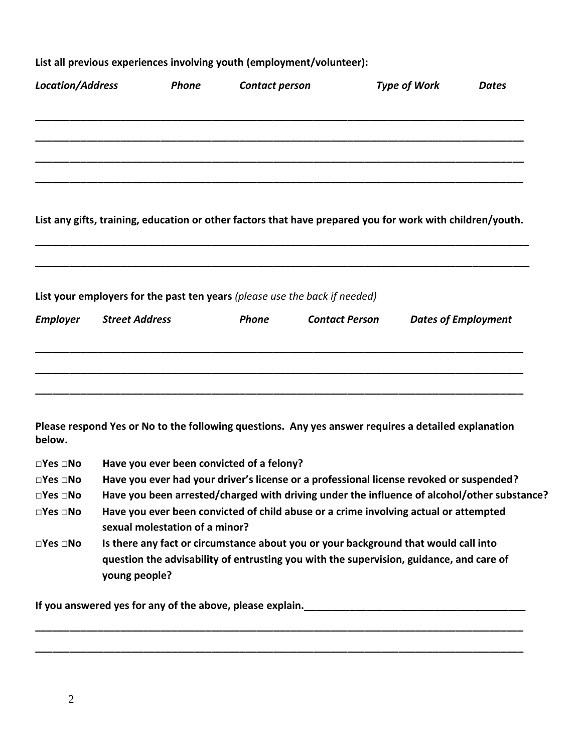| List all previous experiences involving youth (employment/volunteer): |                                                                                                                                                                                                 |              |                                           |                                                                            |                                                                                                           |                            |  |
|-----------------------------------------------------------------------|-------------------------------------------------------------------------------------------------------------------------------------------------------------------------------------------------|--------------|-------------------------------------------|----------------------------------------------------------------------------|-----------------------------------------------------------------------------------------------------------|----------------------------|--|
| <b>Location/Address</b>                                               |                                                                                                                                                                                                 | <b>Phone</b> | Contact person                            |                                                                            | <b>Type of Work</b>                                                                                       | <b>Dates</b>               |  |
|                                                                       |                                                                                                                                                                                                 |              |                                           |                                                                            |                                                                                                           |                            |  |
|                                                                       |                                                                                                                                                                                                 |              |                                           |                                                                            |                                                                                                           |                            |  |
|                                                                       |                                                                                                                                                                                                 |              |                                           |                                                                            | List any gifts, training, education or other factors that have prepared you for work with children/youth. |                            |  |
|                                                                       |                                                                                                                                                                                                 |              |                                           |                                                                            |                                                                                                           |                            |  |
|                                                                       |                                                                                                                                                                                                 |              |                                           | List your employers for the past ten years (please use the back if needed) |                                                                                                           |                            |  |
| <b>Employer</b>                                                       | <b>Street Address</b>                                                                                                                                                                           |              | <b>Phone</b>                              | <b>Contact Person</b>                                                      |                                                                                                           | <b>Dates of Employment</b> |  |
|                                                                       |                                                                                                                                                                                                 |              |                                           |                                                                            |                                                                                                           |                            |  |
| below.                                                                |                                                                                                                                                                                                 |              |                                           |                                                                            | Please respond Yes or No to the following questions. Any yes answer requires a detailed explanation       |                            |  |
| $\square$ Yes $\square$ No                                            |                                                                                                                                                                                                 |              | Have you ever been convicted of a felony? |                                                                            |                                                                                                           |                            |  |
| $\square$ Yes $\square$ No                                            | Have you ever had your driver's license or a professional license revoked or suspended?                                                                                                         |              |                                           |                                                                            |                                                                                                           |                            |  |
| $\square$ Yes $\square$ No                                            | Have you been arrested/charged with driving under the influence of alcohol/other substance?                                                                                                     |              |                                           |                                                                            |                                                                                                           |                            |  |
| $\square$ Yes $\square$ No                                            | sexual molestation of a minor?                                                                                                                                                                  |              |                                           |                                                                            | Have you ever been convicted of child abuse or a crime involving actual or attempted                      |                            |  |
| $\square$ Yes $\square$ No                                            | Is there any fact or circumstance about you or your background that would call into<br>question the advisability of entrusting you with the supervision, guidance, and care of<br>young people? |              |                                           |                                                                            |                                                                                                           |                            |  |

**\_\_\_\_\_\_\_\_\_\_\_\_\_\_\_\_\_\_\_\_\_\_\_\_\_\_\_\_\_\_\_\_\_\_\_\_\_\_\_\_\_\_\_\_\_\_\_\_\_\_\_\_\_\_\_\_\_\_\_\_\_\_\_\_\_\_\_\_\_\_\_\_\_\_\_\_\_\_\_\_\_\_\_\_\_\_**

**\_\_\_\_\_\_\_\_\_\_\_\_\_\_\_\_\_\_\_\_\_\_\_\_\_\_\_\_\_\_\_\_\_\_\_\_\_\_\_\_\_\_\_\_\_\_\_\_\_\_\_\_\_\_\_\_\_\_\_\_\_\_\_\_\_\_\_\_\_\_\_\_\_\_\_\_\_\_\_\_\_\_\_\_\_\_**

**If you answered yes for any of the above, please explain.\_\_\_\_\_\_\_\_\_\_\_\_\_\_\_\_\_\_\_\_\_\_\_\_\_\_\_\_\_\_\_\_\_\_\_\_\_\_\_**